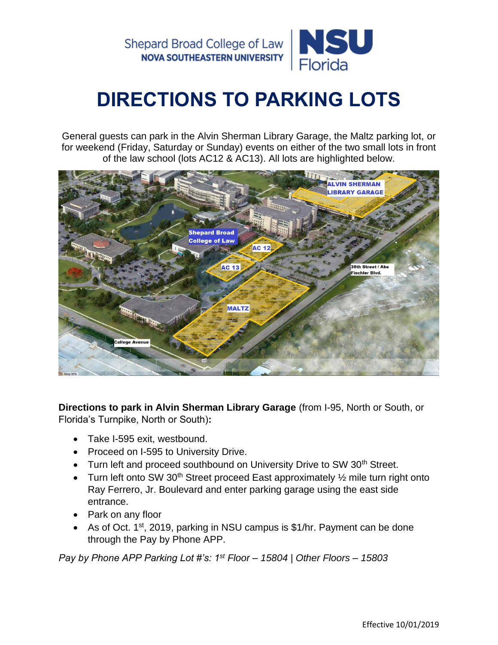Shepard Broad College of Law **NOVA SOUTHEASTERN UNIVERSITY** 



## **DIRECTIONS TO PARKING LOTS**

General guests can park in the Alvin Sherman Library Garage, the Maltz parking lot, or for weekend (Friday, Saturday or Sunday) events on either of the two small lots in front of the law school (lots AC12 & AC13). All lots are highlighted below.



**Directions to park in Alvin Sherman Library Garage** (from I-95, North or South, or Florida's Turnpike, North or South)**:**

- Take I-595 exit, westbound.
- Proceed on I-595 to University Drive.
- Turn left and proceed southbound on University Drive to SW 30<sup>th</sup> Street.
- Turn left onto SW 30<sup>th</sup> Street proceed East approximately  $\frac{1}{2}$  mile turn right onto Ray Ferrero, Jr. Boulevard and enter parking garage using the east side entrance.
- Park on any floor
- As of Oct.  $1<sup>st</sup>$ , 2019, parking in NSU campus is \$1/hr. Payment can be done through the Pay by Phone APP.

*Pay by Phone APP Parking Lot #'s: 1st Floor – 15804 | Other Floors – 15803*